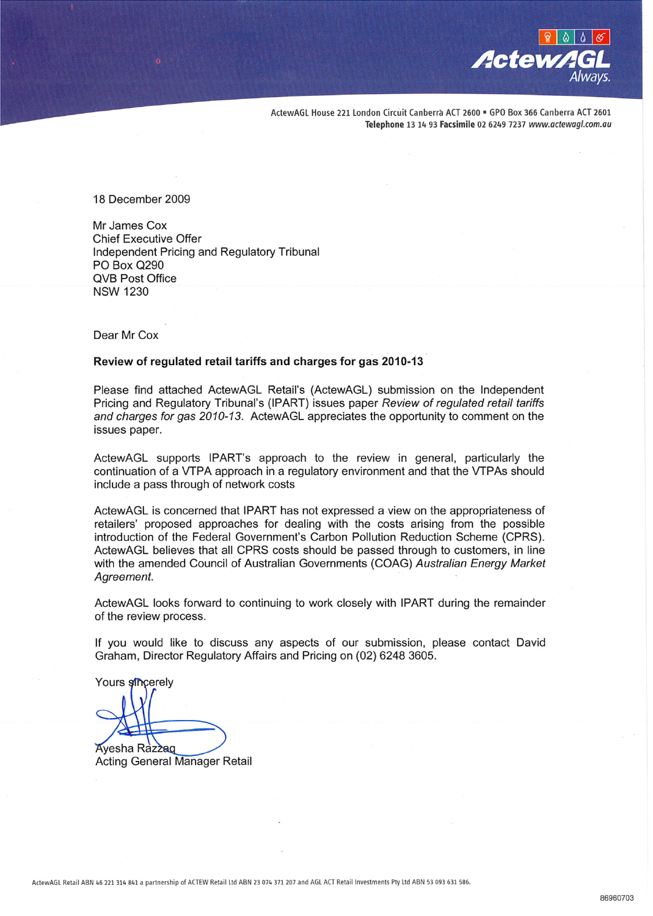

ActewAGL House 221 London Circuit Canberra ACT 2600 = GPO Box 366 Canberra ACT 2601 Telephone 13 14 93 Facsimile 02 6249 7237 www.actewagl.com.au

18 December 2009

Mr James Cox **Chief Executive Offer** Independent Pricing and Regulatory Tribunal PO Box Q290 **QVB Post Office NSW 1230** 

Dear Mr Cox

#### Review of regulated retail tariffs and charges for gas 2010-13

Please find attached ActewAGL Retail's (ActewAGL) submission on the Independent Pricing and Regulatory Tribunal's (IPART) issues paper Review of regulated retail tariffs and charges for gas 2010-13. ActewAGL appreciates the opportunity to comment on the issues paper.

ActewAGL supports IPART's approach to the review in general, particularly the continuation of a VTPA approach in a regulatory environment and that the VTPAs should include a pass through of network costs

ActewAGL is concerned that IPART has not expressed a view on the appropriateness of retailers' proposed approaches for dealing with the costs arising from the possible introduction of the Federal Government's Carbon Pollution Reduction Scheme (CPRS). ActewAGL believes that all CPRS costs should be passed through to customers, in line with the amended Council of Australian Governments (COAG) Australian Energy Market Agreement.

ActewAGL looks forward to continuing to work closely with IPART during the remainder of the review process.

If you would like to discuss any aspects of our submission, please contact David Graham, Director Regulatory Affairs and Pricing on (02) 6248 3605.

Yours sincerely

Ayesha Razzag

**Acting General Manager Retail**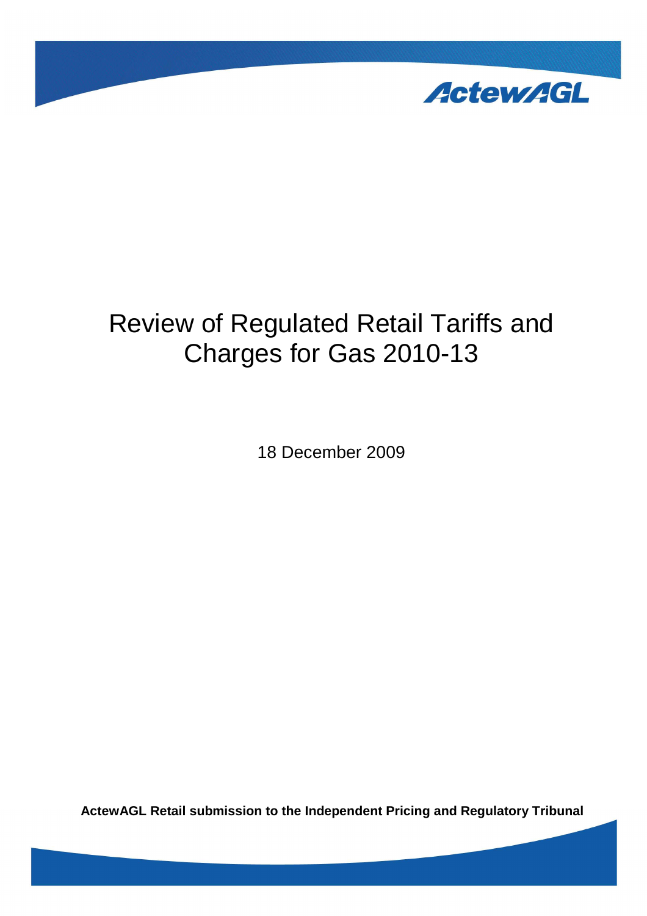

# Review of Regulated Retail Tariffs and Charges for Gas 2010-13

18 December 2009

**ActewAGL Retail submission to the Independent Pricing and Regulatory Tribunal**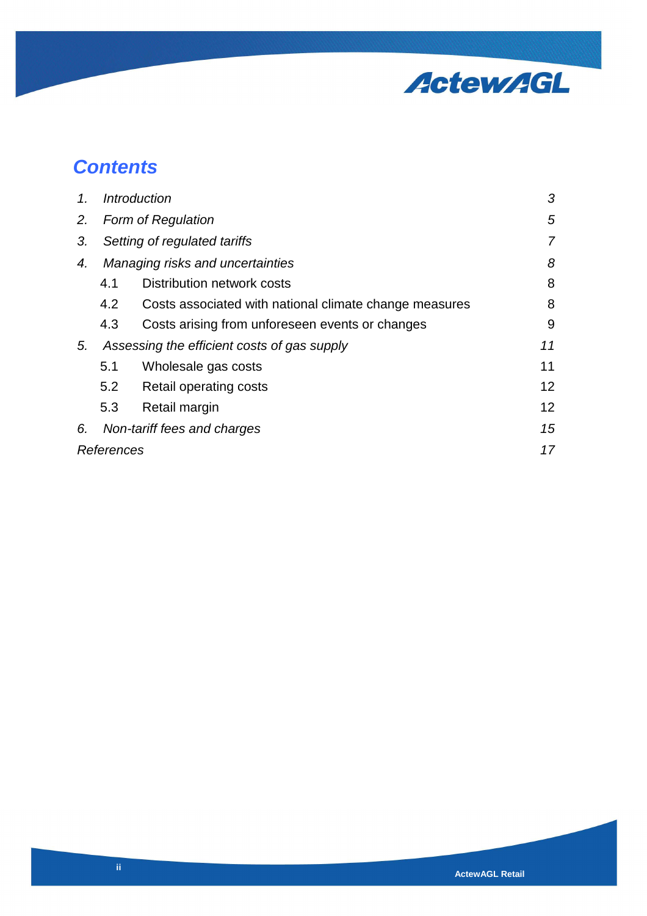

# **Contents**

| $\mathcal{1}$ . | <b>Introduction</b>                         |                                                        | 3               |
|-----------------|---------------------------------------------|--------------------------------------------------------|-----------------|
| 2.              | <b>Form of Regulation</b>                   |                                                        | 5               |
| 3.              | Setting of regulated tariffs                |                                                        | $\overline{7}$  |
| 4.              | Managing risks and uncertainties            |                                                        | 8               |
|                 | 4.1                                         | Distribution network costs                             | 8               |
|                 | 4.2                                         | Costs associated with national climate change measures | 8               |
|                 | 4.3                                         | Costs arising from unforeseen events or changes        | 9               |
| 5.              | Assessing the efficient costs of gas supply |                                                        | 11              |
|                 | 5.1                                         | Wholesale gas costs                                    | 11              |
|                 | 5.2                                         | Retail operating costs                                 | 12 <sup>°</sup> |
|                 | 5.3                                         | Retail margin                                          | 12 <sup>2</sup> |
| 6.              | Non-tariff fees and charges                 |                                                        | 15              |
| References      |                                             |                                                        | 17              |
|                 |                                             |                                                        |                 |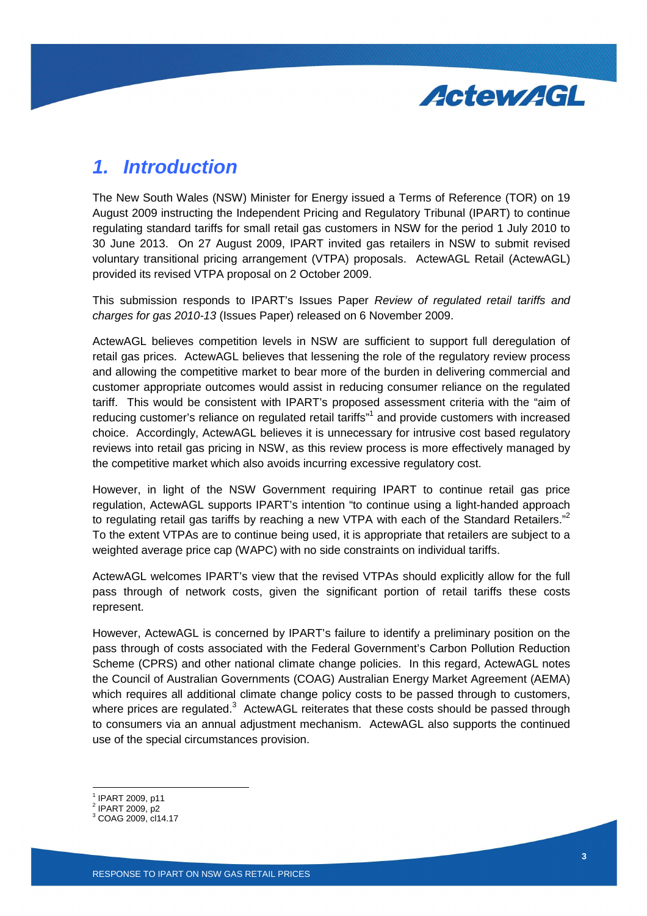

### **1. Introduction**

The New South Wales (NSW) Minister for Energy issued a Terms of Reference (TOR) on 19 August 2009 instructing the Independent Pricing and Regulatory Tribunal (IPART) to continue regulating standard tariffs for small retail gas customers in NSW for the period 1 July 2010 to 30 June 2013. On 27 August 2009, IPART invited gas retailers in NSW to submit revised voluntary transitional pricing arrangement (VTPA) proposals. ActewAGL Retail (ActewAGL) provided its revised VTPA proposal on 2 October 2009.

This submission responds to IPART's Issues Paper Review of regulated retail tariffs and charges for gas 2010-13 (Issues Paper) released on 6 November 2009.

ActewAGL believes competition levels in NSW are sufficient to support full deregulation of retail gas prices. ActewAGL believes that lessening the role of the regulatory review process and allowing the competitive market to bear more of the burden in delivering commercial and customer appropriate outcomes would assist in reducing consumer reliance on the regulated tariff. This would be consistent with IPART's proposed assessment criteria with the "aim of reducing customer's reliance on regulated retail tariffs"<sup>1</sup> and provide customers with increased choice. Accordingly, ActewAGL believes it is unnecessary for intrusive cost based regulatory reviews into retail gas pricing in NSW, as this review process is more effectively managed by the competitive market which also avoids incurring excessive regulatory cost.

However, in light of the NSW Government requiring IPART to continue retail gas price regulation, ActewAGL supports IPART's intention "to continue using a light-handed approach to regulating retail gas tariffs by reaching a new VTPA with each of the Standard Retailers."<sup>2</sup> To the extent VTPAs are to continue being used, it is appropriate that retailers are subject to a weighted average price cap (WAPC) with no side constraints on individual tariffs.

ActewAGL welcomes IPART's view that the revised VTPAs should explicitly allow for the full pass through of network costs, given the significant portion of retail tariffs these costs represent.

However, ActewAGL is concerned by IPART's failure to identify a preliminary position on the pass through of costs associated with the Federal Government's Carbon Pollution Reduction Scheme (CPRS) and other national climate change policies. In this regard, ActewAGL notes the Council of Australian Governments (COAG) Australian Energy Market Agreement (AEMA) which requires all additional climate change policy costs to be passed through to customers, where prices are regulated. $3$  ActewAGL reiterates that these costs should be passed through to consumers via an annual adjustment mechanism. ActewAGL also supports the continued use of the special circumstances provision.

1 IPART 2009, p11

Ī

<sup>2</sup> IPART 2009, p2

<sup>3</sup> COAG 2009, cl14.17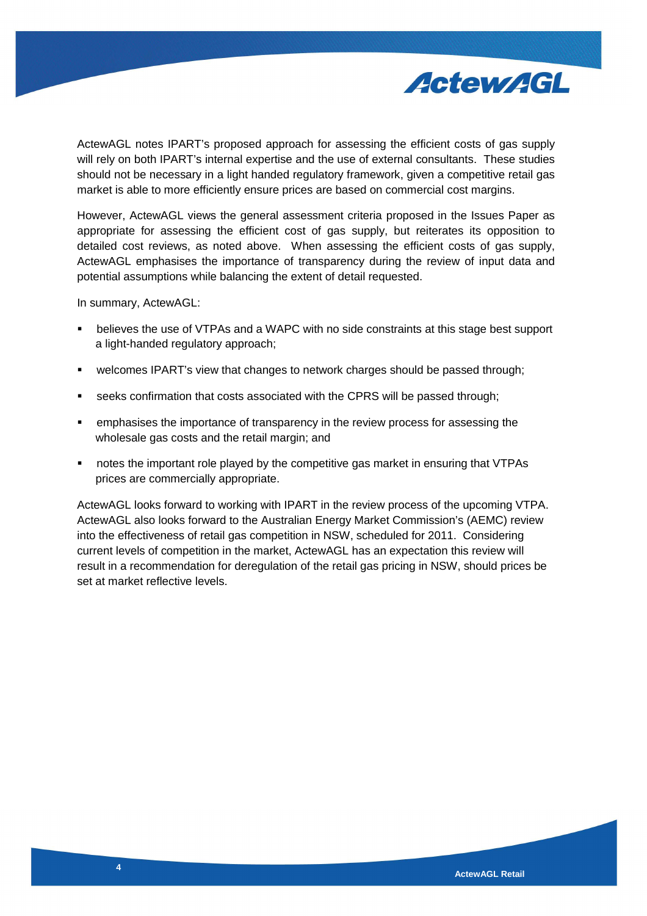

ActewAGL notes IPART's proposed approach for assessing the efficient costs of gas supply will rely on both IPART's internal expertise and the use of external consultants. These studies should not be necessary in a light handed regulatory framework, given a competitive retail gas market is able to more efficiently ensure prices are based on commercial cost margins.

However, ActewAGL views the general assessment criteria proposed in the Issues Paper as appropriate for assessing the efficient cost of gas supply, but reiterates its opposition to detailed cost reviews, as noted above. When assessing the efficient costs of gas supply, ActewAGL emphasises the importance of transparency during the review of input data and potential assumptions while balancing the extent of detail requested.

In summary, ActewAGL:

- believes the use of VTPAs and a WAPC with no side constraints at this stage best support a light-handed regulatory approach;
- welcomes IPART's view that changes to network charges should be passed through;
- seeks confirmation that costs associated with the CPRS will be passed through;
- emphasises the importance of transparency in the review process for assessing the wholesale gas costs and the retail margin; and
- notes the important role played by the competitive gas market in ensuring that VTPAs prices are commercially appropriate.

ActewAGL looks forward to working with IPART in the review process of the upcoming VTPA. ActewAGL also looks forward to the Australian Energy Market Commission's (AEMC) review into the effectiveness of retail gas competition in NSW, scheduled for 2011. Considering current levels of competition in the market, ActewAGL has an expectation this review will result in a recommendation for deregulation of the retail gas pricing in NSW, should prices be set at market reflective levels.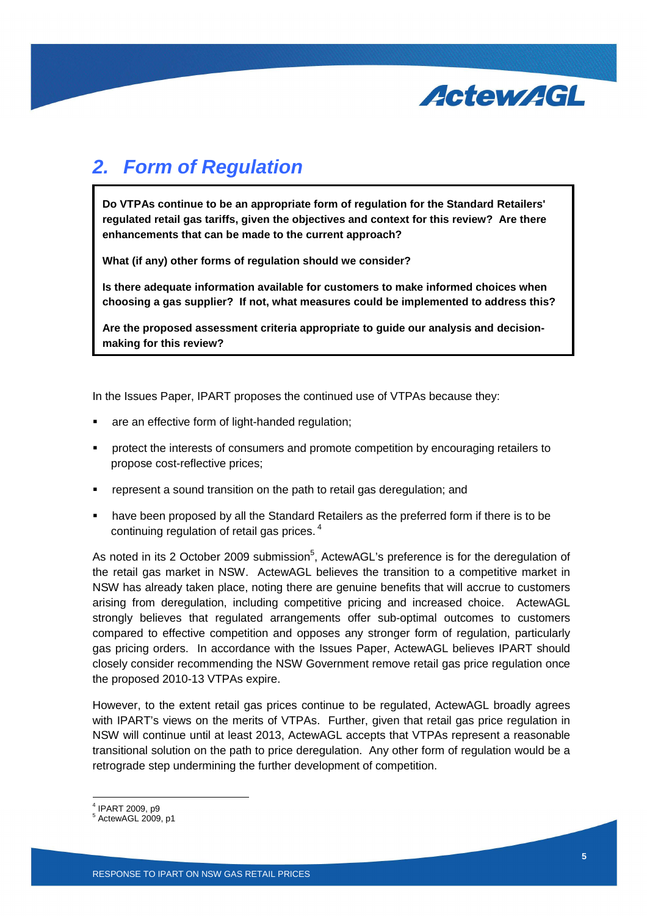

# **2. Form of Regulation**

**Do VTPAs continue to be an appropriate form of regulation for the Standard Retailers' regulated retail gas tariffs, given the objectives and context for this review? Are there enhancements that can be made to the current approach?** 

**What (if any) other forms of regulation should we consider?** 

**Is there adequate information available for customers to make informed choices when choosing a gas supplier? If not, what measures could be implemented to address this?** 

**Are the proposed assessment criteria appropriate to guide our analysis and decisionmaking for this review?** 

In the Issues Paper, IPART proposes the continued use of VTPAs because they:

- are an effective form of light-handed regulation;
- **•** protect the interests of consumers and promote competition by encouraging retailers to propose cost-reflective prices;
- represent a sound transition on the path to retail gas deregulation; and
- have been proposed by all the Standard Retailers as the preferred form if there is to be continuing regulation of retail gas prices.<sup>4</sup>

As noted in its 2 October 2009 submission<sup>5</sup>, ActewAGL's preference is for the deregulation of the retail gas market in NSW. ActewAGL believes the transition to a competitive market in NSW has already taken place, noting there are genuine benefits that will accrue to customers arising from deregulation, including competitive pricing and increased choice. ActewAGL strongly believes that regulated arrangements offer sub-optimal outcomes to customers compared to effective competition and opposes any stronger form of regulation, particularly gas pricing orders. In accordance with the Issues Paper, ActewAGL believes IPART should closely consider recommending the NSW Government remove retail gas price regulation once the proposed 2010-13 VTPAs expire.

However, to the extent retail gas prices continue to be regulated, ActewAGL broadly agrees with IPART's views on the merits of VTPAs. Further, given that retail gas price regulation in NSW will continue until at least 2013, ActewAGL accepts that VTPAs represent a reasonable transitional solution on the path to price deregulation. Any other form of regulation would be a retrograde step undermining the further development of competition.

Ī

<sup>4</sup> IPART 2009, p9

 $<sup>5</sup>$  ActewAGL 2009, p1</sup>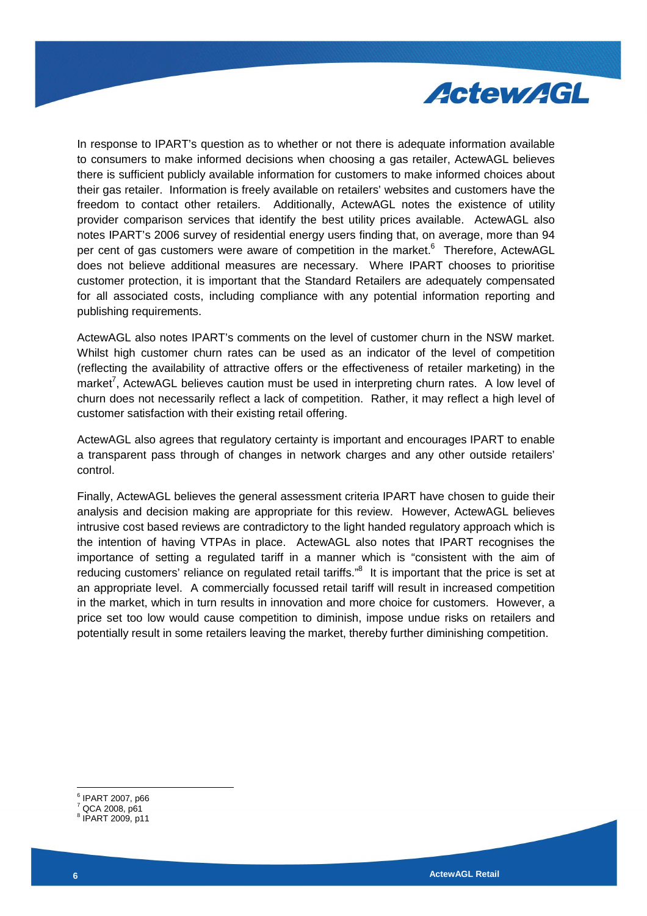

In response to IPART's question as to whether or not there is adequate information available to consumers to make informed decisions when choosing a gas retailer, ActewAGL believes there is sufficient publicly available information for customers to make informed choices about their gas retailer. Information is freely available on retailers' websites and customers have the freedom to contact other retailers. Additionally, ActewAGL notes the existence of utility provider comparison services that identify the best utility prices available. ActewAGL also notes IPART's 2006 survey of residential energy users finding that, on average, more than 94 per cent of gas customers were aware of competition in the market.<sup>6</sup> Therefore, ActewAGL does not believe additional measures are necessary. Where IPART chooses to prioritise customer protection, it is important that the Standard Retailers are adequately compensated for all associated costs, including compliance with any potential information reporting and publishing requirements.

ActewAGL also notes IPART's comments on the level of customer churn in the NSW market. Whilst high customer churn rates can be used as an indicator of the level of competition (reflecting the availability of attractive offers or the effectiveness of retailer marketing) in the market<sup>7</sup>, ActewAGL believes caution must be used in interpreting churn rates. A low level of churn does not necessarily reflect a lack of competition. Rather, it may reflect a high level of customer satisfaction with their existing retail offering.

ActewAGL also agrees that regulatory certainty is important and encourages IPART to enable a transparent pass through of changes in network charges and any other outside retailers' control.

Finally, ActewAGL believes the general assessment criteria IPART have chosen to guide their analysis and decision making are appropriate for this review. However, ActewAGL believes intrusive cost based reviews are contradictory to the light handed regulatory approach which is the intention of having VTPAs in place. ActewAGL also notes that IPART recognises the importance of setting a regulated tariff in a manner which is "consistent with the aim of reducing customers' reliance on regulated retail tariffs."<sup>8</sup> It is important that the price is set at an appropriate level. A commercially focussed retail tariff will result in increased competition in the market, which in turn results in innovation and more choice for customers. However, a price set too low would cause competition to diminish, impose undue risks on retailers and potentially result in some retailers leaving the market, thereby further diminishing competition.

<sup>6</sup> IPART 2007, p66

 $7$  QCA 2008, p61

<sup>8</sup> IPART 2009, p11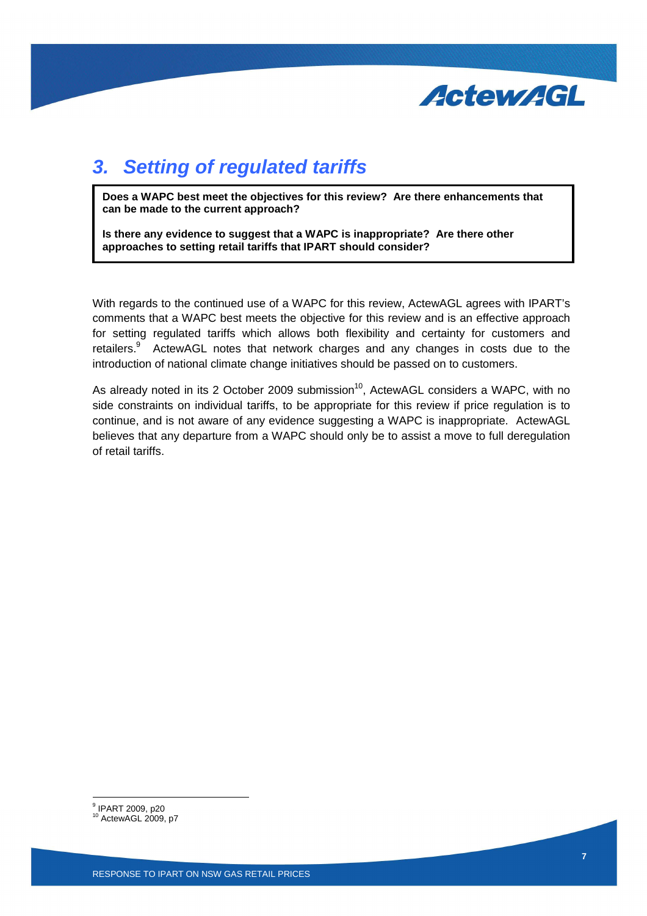

# **3. Setting of regulated tariffs**

**Does a WAPC best meet the objectives for this review? Are there enhancements that can be made to the current approach?** 

**Is there any evidence to suggest that a WAPC is inappropriate? Are there other approaches to setting retail tariffs that IPART should consider?** 

With regards to the continued use of a WAPC for this review, ActewAGL agrees with IPART's comments that a WAPC best meets the objective for this review and is an effective approach for setting regulated tariffs which allows both flexibility and certainty for customers and retailers.<sup>9</sup> ActewAGL notes that network charges and any changes in costs due to the introduction of national climate change initiatives should be passed on to customers.

As already noted in its 2 October 2009 submission<sup>10</sup>, ActewAGL considers a WAPC, with no side constraints on individual tariffs, to be appropriate for this review if price regulation is to continue, and is not aware of any evidence suggesting a WAPC is inappropriate. ActewAGL believes that any departure from a WAPC should only be to assist a move to full deregulation of retail tariffs.

 9 IPART 2009, p20

<sup>10</sup> ActewAGL 2009, p7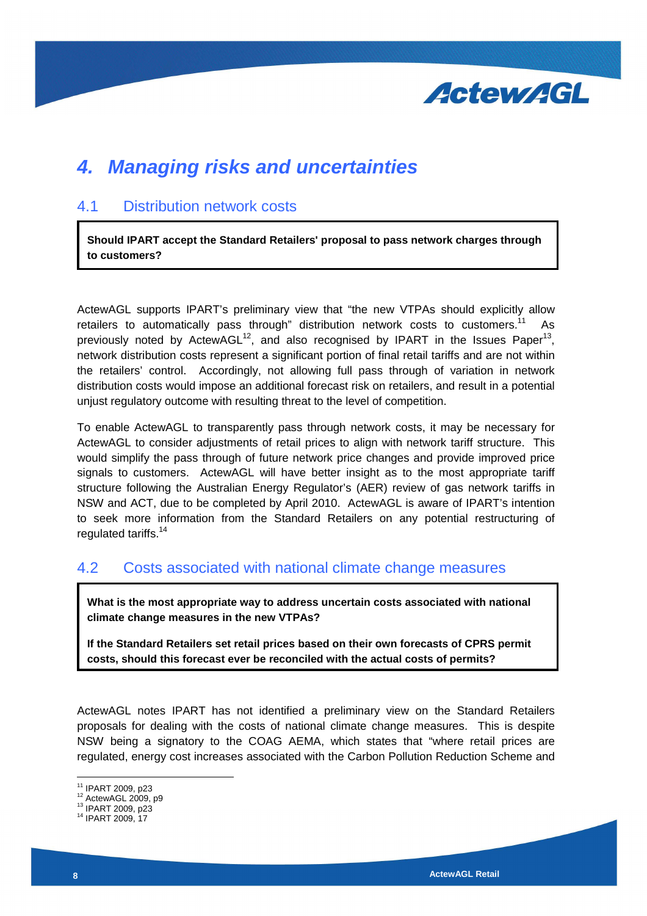

### **4. Managing risks and uncertainties**

#### 4.1 Distribution network costs

**Should IPART accept the Standard Retailers' proposal to pass network charges through to customers?** 

ActewAGL supports IPART's preliminary view that "the new VTPAs should explicitly allow retailers to automatically pass through" distribution network costs to customers.<sup>11</sup> As previously noted by ActewAGL<sup>12</sup>, and also recognised by IPART in the Issues Paper<sup>13</sup>, network distribution costs represent a significant portion of final retail tariffs and are not within the retailers' control. Accordingly, not allowing full pass through of variation in network distribution costs would impose an additional forecast risk on retailers, and result in a potential unjust regulatory outcome with resulting threat to the level of competition.

To enable ActewAGL to transparently pass through network costs, it may be necessary for ActewAGL to consider adjustments of retail prices to align with network tariff structure. This would simplify the pass through of future network price changes and provide improved price signals to customers. ActewAGL will have better insight as to the most appropriate tariff structure following the Australian Energy Regulator's (AER) review of gas network tariffs in NSW and ACT, due to be completed by April 2010. ActewAGL is aware of IPART's intention to seek more information from the Standard Retailers on any potential restructuring of regulated tariffs.<sup>14</sup>

### 4.2 Costs associated with national climate change measures

**What is the most appropriate way to address uncertain costs associated with national climate change measures in the new VTPAs?** 

**If the Standard Retailers set retail prices based on their own forecasts of CPRS permit costs, should this forecast ever be reconciled with the actual costs of permits?**

ActewAGL notes IPART has not identified a preliminary view on the Standard Retailers proposals for dealing with the costs of national climate change measures. This is despite NSW being a signatory to the COAG AEMA, which states that "where retail prices are regulated, energy cost increases associated with the Carbon Pollution Reduction Scheme and

<sup>&</sup>lt;sup>11</sup> IPART 2009, p23

<sup>12</sup> ActewAGL 2009, p9

<sup>&</sup>lt;sup>13</sup> IPART 2009, p23

<sup>14</sup> IPART 2009, 17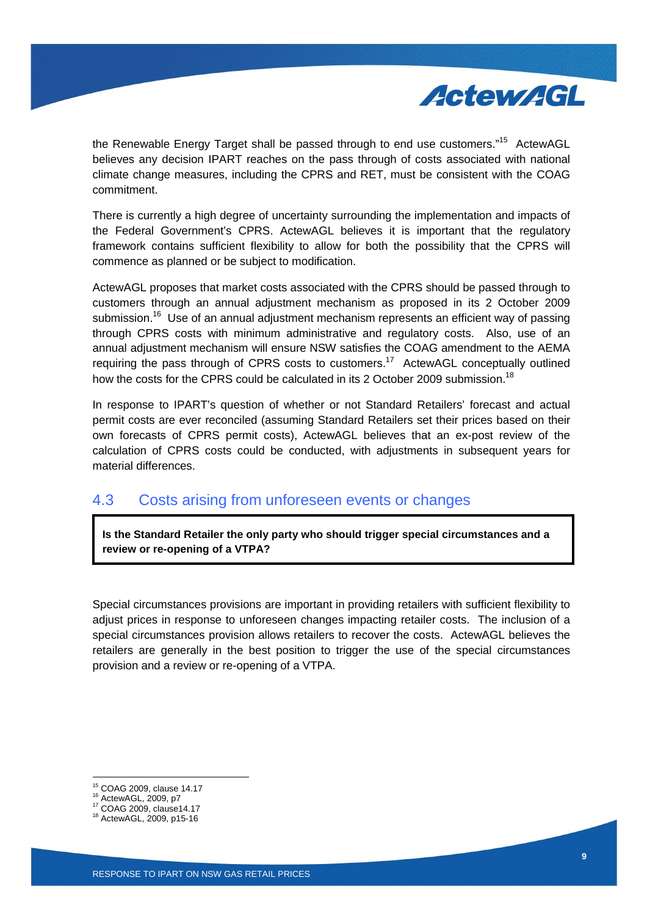

the Renewable Energy Target shall be passed through to end use customers."<sup>15</sup> ActewAGL believes any decision IPART reaches on the pass through of costs associated with national climate change measures, including the CPRS and RET, must be consistent with the COAG commitment.

There is currently a high degree of uncertainty surrounding the implementation and impacts of the Federal Government's CPRS. ActewAGL believes it is important that the regulatory framework contains sufficient flexibility to allow for both the possibility that the CPRS will commence as planned or be subject to modification.

ActewAGL proposes that market costs associated with the CPRS should be passed through to customers through an annual adjustment mechanism as proposed in its 2 October 2009 submission.<sup>16</sup> Use of an annual adjustment mechanism represents an efficient way of passing through CPRS costs with minimum administrative and regulatory costs. Also, use of an annual adjustment mechanism will ensure NSW satisfies the COAG amendment to the AEMA requiring the pass through of CPRS costs to customers.<sup>17</sup> ActewAGL conceptually outlined how the costs for the CPRS could be calculated in its 2 October 2009 submission.<sup>18</sup>

In response to IPART's question of whether or not Standard Retailers' forecast and actual permit costs are ever reconciled (assuming Standard Retailers set their prices based on their own forecasts of CPRS permit costs), ActewAGL believes that an ex-post review of the calculation of CPRS costs could be conducted, with adjustments in subsequent years for material differences.

### 4.3 Costs arising from unforeseen events or changes

**Is the Standard Retailer the only party who should trigger special circumstances and a review or re-opening of a VTPA?** 

Special circumstances provisions are important in providing retailers with sufficient flexibility to adjust prices in response to unforeseen changes impacting retailer costs. The inclusion of a special circumstances provision allows retailers to recover the costs. ActewAGL believes the retailers are generally in the best position to trigger the use of the special circumstances provision and a review or re-opening of a VTPA.

Ī

<sup>15</sup> COAG 2009, clause 14.17

<sup>16</sup> ActewAGL, 2009, p7

<sup>17</sup> COAG 2009, clause14.17

<sup>18</sup> ActewAGL, 2009, p15-16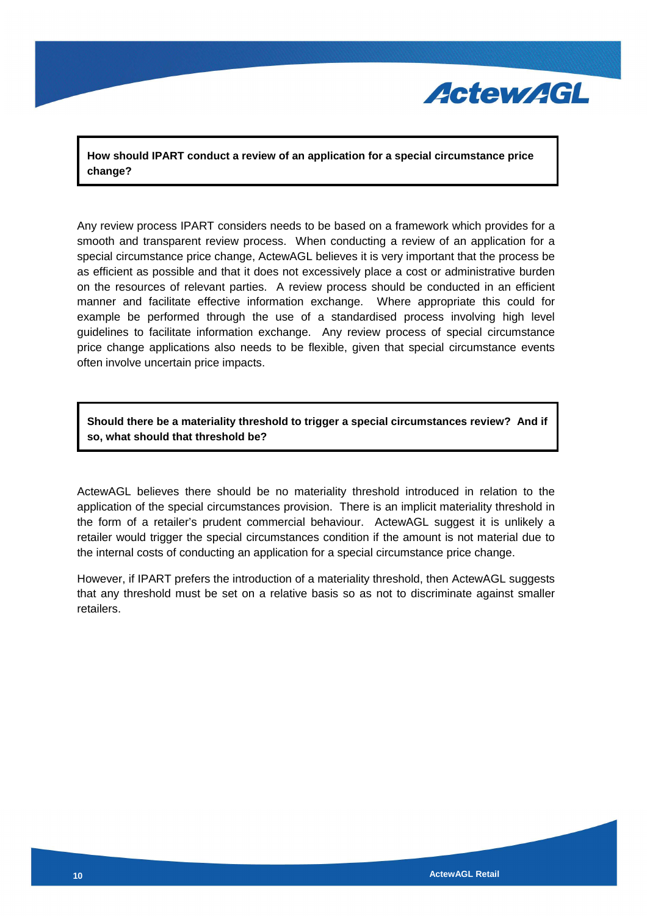

**How should IPART conduct a review of an application for a special circumstance price change?** 

Any review process IPART considers needs to be based on a framework which provides for a smooth and transparent review process. When conducting a review of an application for a special circumstance price change, ActewAGL believes it is very important that the process be as efficient as possible and that it does not excessively place a cost or administrative burden on the resources of relevant parties. A review process should be conducted in an efficient manner and facilitate effective information exchange. Where appropriate this could for example be performed through the use of a standardised process involving high level guidelines to facilitate information exchange. Any review process of special circumstance price change applications also needs to be flexible, given that special circumstance events often involve uncertain price impacts.

**Should there be a materiality threshold to trigger a special circumstances review? And if so, what should that threshold be?** 

ActewAGL believes there should be no materiality threshold introduced in relation to the application of the special circumstances provision. There is an implicit materiality threshold in the form of a retailer's prudent commercial behaviour. ActewAGL suggest it is unlikely a retailer would trigger the special circumstances condition if the amount is not material due to the internal costs of conducting an application for a special circumstance price change.

However, if IPART prefers the introduction of a materiality threshold, then ActewAGL suggests that any threshold must be set on a relative basis so as not to discriminate against smaller retailers.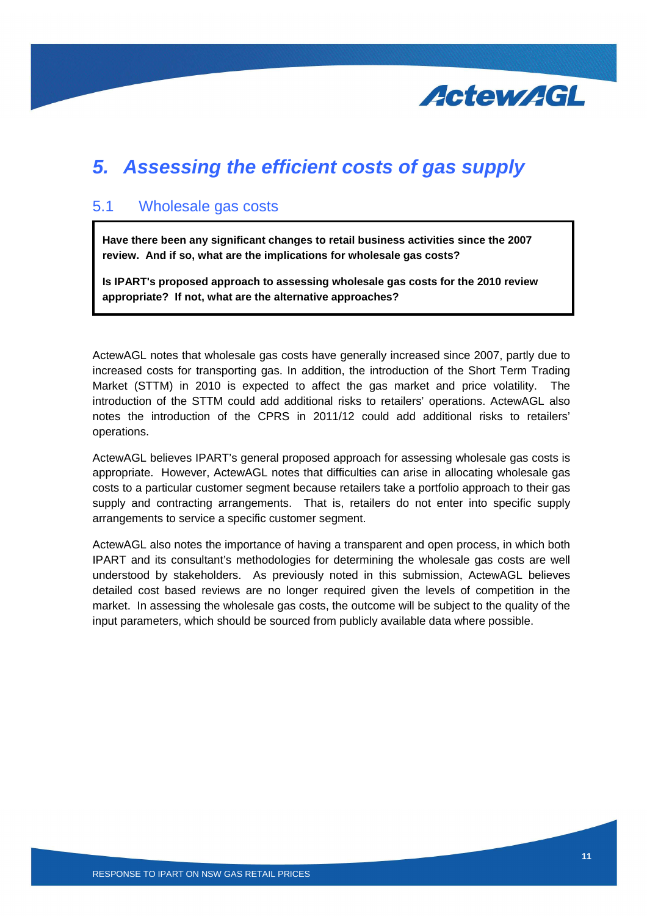

### **5. Assessing the efficient costs of gas supply**

#### 5.1 Wholesale gas costs

**Have there been any significant changes to retail business activities since the 2007 review. And if so, what are the implications for wholesale gas costs?** 

**Is IPART's proposed approach to assessing wholesale gas costs for the 2010 review appropriate? If not, what are the alternative approaches?** 

ActewAGL notes that wholesale gas costs have generally increased since 2007, partly due to increased costs for transporting gas. In addition, the introduction of the Short Term Trading Market (STTM) in 2010 is expected to affect the gas market and price volatility. The introduction of the STTM could add additional risks to retailers' operations. ActewAGL also notes the introduction of the CPRS in 2011/12 could add additional risks to retailers' operations.

ActewAGL believes IPART's general proposed approach for assessing wholesale gas costs is appropriate. However, ActewAGL notes that difficulties can arise in allocating wholesale gas costs to a particular customer segment because retailers take a portfolio approach to their gas supply and contracting arrangements. That is, retailers do not enter into specific supply arrangements to service a specific customer segment.

ActewAGL also notes the importance of having a transparent and open process, in which both IPART and its consultant's methodologies for determining the wholesale gas costs are well understood by stakeholders. As previously noted in this submission, ActewAGL believes detailed cost based reviews are no longer required given the levels of competition in the market. In assessing the wholesale gas costs, the outcome will be subject to the quality of the input parameters, which should be sourced from publicly available data where possible.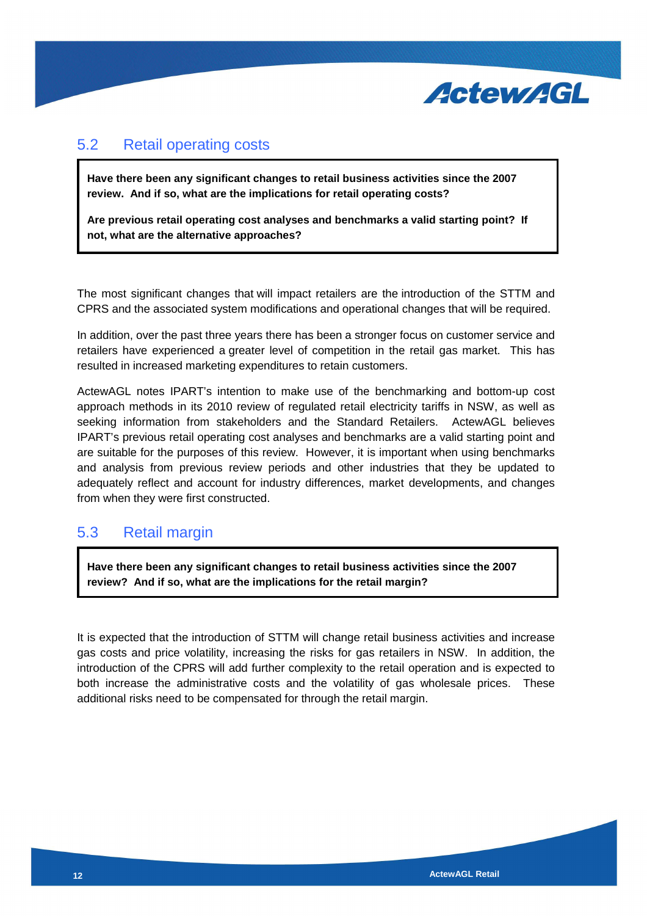

### 5.2 Retail operating costs

**Have there been any significant changes to retail business activities since the 2007 review. And if so, what are the implications for retail operating costs?** 

**Are previous retail operating cost analyses and benchmarks a valid starting point? If not, what are the alternative approaches?** 

The most significant changes that will impact retailers are the introduction of the STTM and CPRS and the associated system modifications and operational changes that will be required.

In addition, over the past three years there has been a stronger focus on customer service and retailers have experienced a greater level of competition in the retail gas market. This has resulted in increased marketing expenditures to retain customers.

ActewAGL notes IPART's intention to make use of the benchmarking and bottom-up cost approach methods in its 2010 review of regulated retail electricity tariffs in NSW, as well as seeking information from stakeholders and the Standard Retailers. ActewAGL believes IPART's previous retail operating cost analyses and benchmarks are a valid starting point and are suitable for the purposes of this review. However, it is important when using benchmarks and analysis from previous review periods and other industries that they be updated to adequately reflect and account for industry differences, market developments, and changes from when they were first constructed.

### 5.3 Retail margin

**Have there been any significant changes to retail business activities since the 2007 review? And if so, what are the implications for the retail margin?** 

It is expected that the introduction of STTM will change retail business activities and increase gas costs and price volatility, increasing the risks for gas retailers in NSW. In addition, the introduction of the CPRS will add further complexity to the retail operation and is expected to both increase the administrative costs and the volatility of gas wholesale prices. These additional risks need to be compensated for through the retail margin.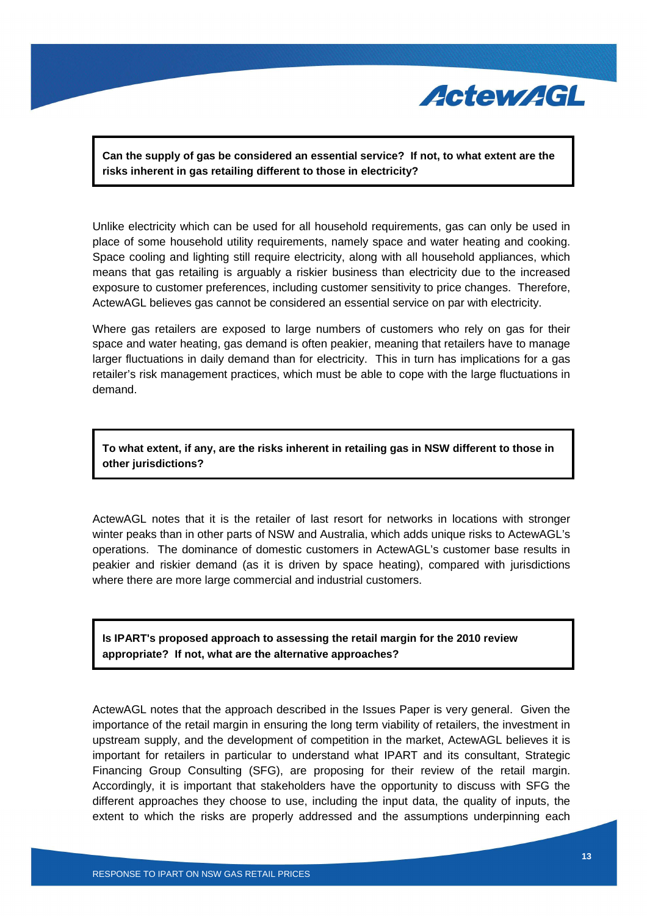

**Can the supply of gas be considered an essential service? If not, to what extent are the risks inherent in gas retailing different to those in electricity?** 

Unlike electricity which can be used for all household requirements, gas can only be used in place of some household utility requirements, namely space and water heating and cooking. Space cooling and lighting still require electricity, along with all household appliances, which means that gas retailing is arguably a riskier business than electricity due to the increased exposure to customer preferences, including customer sensitivity to price changes. Therefore, ActewAGL believes gas cannot be considered an essential service on par with electricity.

Where gas retailers are exposed to large numbers of customers who rely on gas for their space and water heating, gas demand is often peakier, meaning that retailers have to manage larger fluctuations in daily demand than for electricity. This in turn has implications for a gas retailer's risk management practices, which must be able to cope with the large fluctuations in demand.

#### **To what extent, if any, are the risks inherent in retailing gas in NSW different to those in other jurisdictions?**

ActewAGL notes that it is the retailer of last resort for networks in locations with stronger winter peaks than in other parts of NSW and Australia, which adds unique risks to ActewAGL's operations. The dominance of domestic customers in ActewAGL's customer base results in peakier and riskier demand (as it is driven by space heating), compared with jurisdictions where there are more large commercial and industrial customers.

#### **Is IPART's proposed approach to assessing the retail margin for the 2010 review appropriate? If not, what are the alternative approaches?**

ActewAGL notes that the approach described in the Issues Paper is very general. Given the importance of the retail margin in ensuring the long term viability of retailers, the investment in upstream supply, and the development of competition in the market, ActewAGL believes it is important for retailers in particular to understand what IPART and its consultant, Strategic Financing Group Consulting (SFG), are proposing for their review of the retail margin. Accordingly, it is important that stakeholders have the opportunity to discuss with SFG the different approaches they choose to use, including the input data, the quality of inputs, the extent to which the risks are properly addressed and the assumptions underpinning each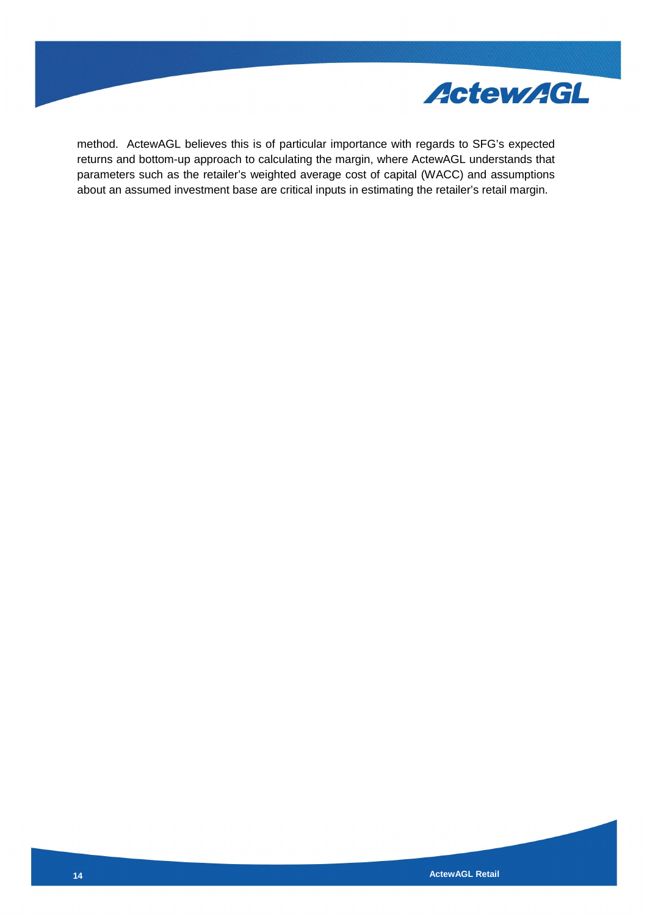

method. ActewAGL believes this is of particular importance with regards to SFG's expected returns and bottom-up approach to calculating the margin, where ActewAGL understands that parameters such as the retailer's weighted average cost of capital (WACC) and assumptions about an assumed investment base are critical inputs in estimating the retailer's retail margin.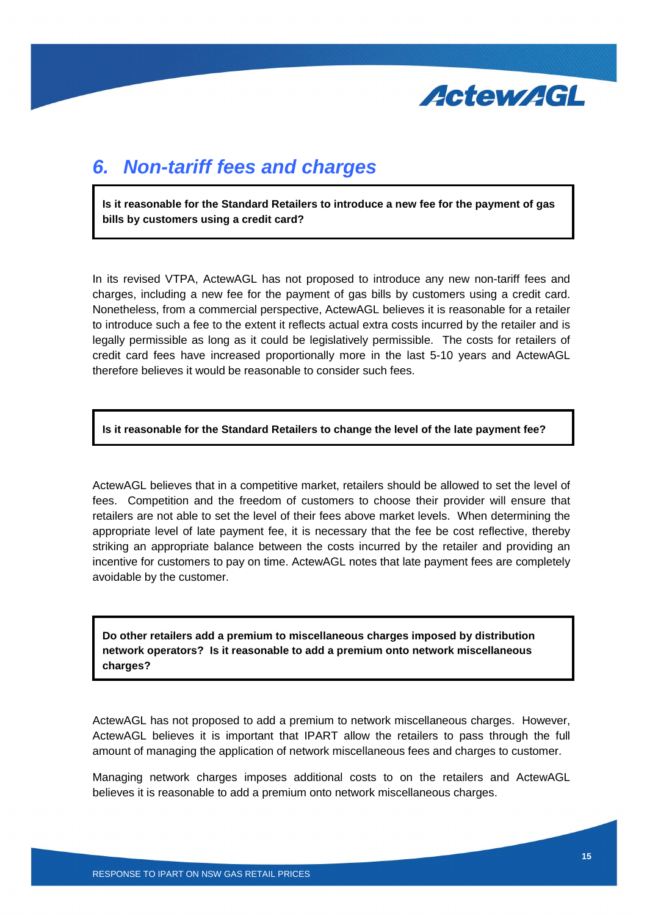

### **6. Non-tariff fees and charges**

**Is it reasonable for the Standard Retailers to introduce a new fee for the payment of gas bills by customers using a credit card?** 

In its revised VTPA, ActewAGL has not proposed to introduce any new non-tariff fees and charges, including a new fee for the payment of gas bills by customers using a credit card. Nonetheless, from a commercial perspective, ActewAGL believes it is reasonable for a retailer to introduce such a fee to the extent it reflects actual extra costs incurred by the retailer and is legally permissible as long as it could be legislatively permissible. The costs for retailers of credit card fees have increased proportionally more in the last 5-10 years and ActewAGL therefore believes it would be reasonable to consider such fees.

**Is it reasonable for the Standard Retailers to change the level of the late payment fee?** 

ActewAGL believes that in a competitive market, retailers should be allowed to set the level of fees. Competition and the freedom of customers to choose their provider will ensure that retailers are not able to set the level of their fees above market levels. When determining the appropriate level of late payment fee, it is necessary that the fee be cost reflective, thereby striking an appropriate balance between the costs incurred by the retailer and providing an incentive for customers to pay on time. ActewAGL notes that late payment fees are completely avoidable by the customer.

**Do other retailers add a premium to miscellaneous charges imposed by distribution network operators? Is it reasonable to add a premium onto network miscellaneous charges?** 

ActewAGL has not proposed to add a premium to network miscellaneous charges. However, ActewAGL believes it is important that IPART allow the retailers to pass through the full amount of managing the application of network miscellaneous fees and charges to customer.

Managing network charges imposes additional costs to on the retailers and ActewAGL believes it is reasonable to add a premium onto network miscellaneous charges.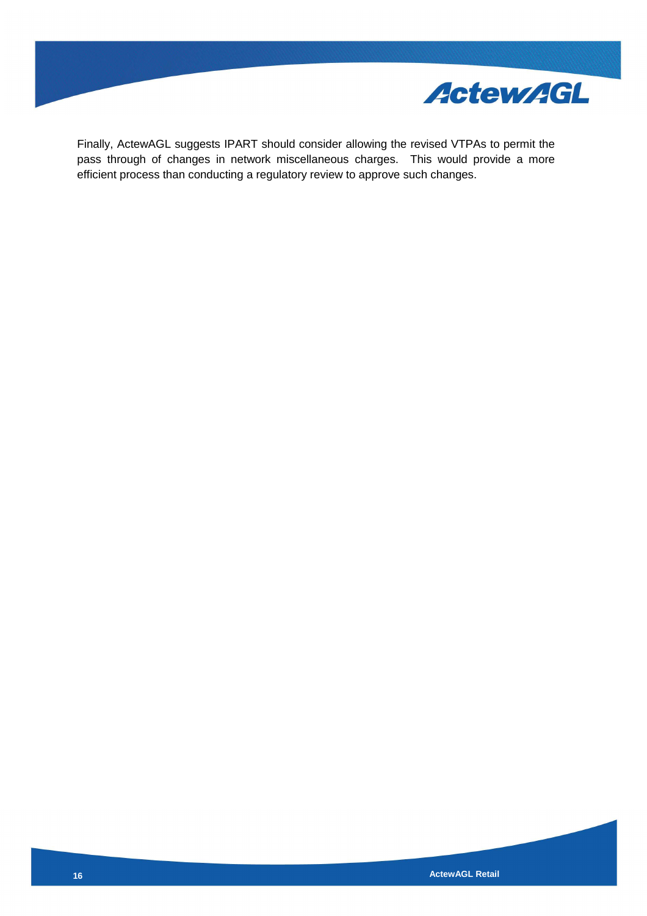

Finally, ActewAGL suggests IPART should consider allowing the revised VTPAs to permit the pass through of changes in network miscellaneous charges. This would provide a more efficient process than conducting a regulatory review to approve such changes.